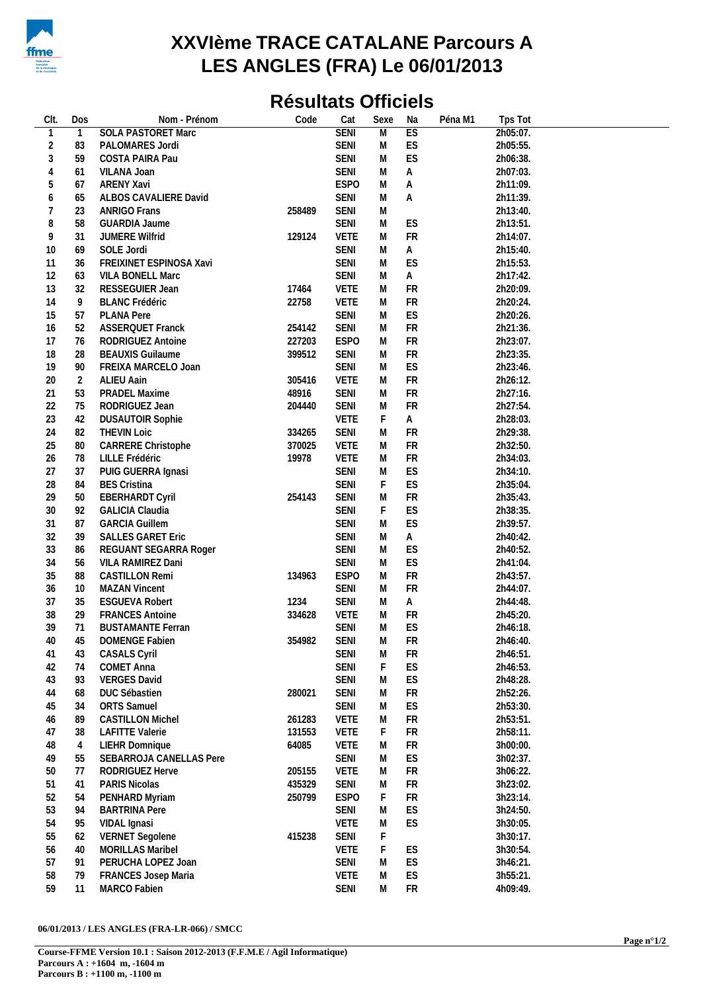

## **XXVIème TRACE CATALANE Parcours A LES ANGLES (FRA) Le 06/01/2013**

## **Résultats Officiels**

| CIt.   | Dos            | Nom - Prénom              | Code   | Cat         | Sexe                    | Na         | Péna M1<br>Tps Tot |  |
|--------|----------------|---------------------------|--------|-------------|-------------------------|------------|--------------------|--|
| 1      | $\mathbf{1}$   | <b>SOLA PASTORET Marc</b> |        | <b>SENI</b> | $\overline{\mathsf{M}}$ | ES         | 2h05:07.           |  |
| 2      | 83             | PALOMARES Jordi           |        | <b>SENI</b> | M                       | ES         | 2h05:55.           |  |
| 3      | 59             | COSTA PAIRA Pau           |        | <b>SENI</b> | М                       | ES         | 2h06:38.           |  |
| 4      | 61             | VILANA Joan               |        | <b>SENI</b> | M                       | Α          | 2h07:03.           |  |
| 5      | 67             | <b>ARENY Xavi</b>         |        | <b>ESPO</b> | М                       | Α          | 2h11:09.           |  |
| 6      | 65             | ALBOS CAVALIERE David     |        | <b>SENI</b> | М                       | Α          | 2h11:39.           |  |
| 7      | 23             | <b>ANRIGO Frans</b>       | 258489 | <b>SENI</b> | М                       |            | 2h13:40.           |  |
|        | 58             |                           |        |             | М                       | ES         |                    |  |
| 8      |                | GUARDIA Jaume             |        | SENI        |                         |            | 2h13:51.           |  |
| 9      | 31             | <b>JUMERE Wilfrid</b>     | 129124 | <b>VETE</b> | М                       | ${\sf FR}$ | 2h14:07.           |  |
| 10     | 69             | SOLE Jordi                |        | SENI        | M                       | Α          | 2h15:40.           |  |
| 11     | 36             | FREIXINET ESPINOSA Xavi   |        | SENI        | М                       | ES         | 2h15:53.           |  |
| 12     | 63             | VILA BONELL Marc          |        | <b>SENI</b> | М                       | Α          | 2h17:42.           |  |
| 13     | 32             | RESSEGUIER Jean           | 17464  | <b>VETE</b> | М                       | <b>FR</b>  | 2h20:09.           |  |
| 14     | 9              | <b>BLANC Frédéric</b>     | 22758  | <b>VETE</b> | М                       | <b>FR</b>  | 2h20:24.           |  |
| 15     | 57             | <b>PLANA Pere</b>         |        | <b>SENI</b> | М                       | ES         | 2h20:26.           |  |
| 16     | 52             | <b>ASSERQUET Franck</b>   | 254142 | SENI        | М                       | FR         | 2h21:36.           |  |
| 17     | 76             | RODRIGUEZ Antoine         | 227203 | <b>ESPO</b> | M                       | <b>FR</b>  | 2h23:07.           |  |
| 18     | 28             | <b>BEAUXIS Guilaume</b>   | 399512 | SENI        | М                       | ${\sf FR}$ | 2h23:35.           |  |
| 19     | 90             | FREIXA MARCELO Joan       |        | SENI        | М                       | ES         | 2h23:46.           |  |
| 20     | $\overline{2}$ | <b>ALIEU Aain</b>         | 305416 | <b>VETE</b> | M                       | <b>FR</b>  | 2h26:12.           |  |
| 21     | 53             | PRADEL Maxime             | 48916  | <b>SENI</b> | М                       | <b>FR</b>  | 2h27:16.           |  |
| 22     | 75             | RODRIGUEZ Jean            | 204440 | SENI        | M                       | <b>FR</b>  | 2h27:54.           |  |
| 23     | 42             | <b>DUSAUTOIR Sophie</b>   |        | <b>VETE</b> | F                       | A          | 2h28:03.           |  |
| 24     | 82             | <b>THEVIN Loic</b>        | 334265 | SENI        | M                       | <b>FR</b>  | 2h29:38.           |  |
| 25     | $80\,$         | CARRERE Christophe        | 370025 | <b>VETE</b> | М                       | ${\sf FR}$ | 2h32:50.           |  |
| 26     |                |                           | 19978  | <b>VETE</b> |                         | ${\sf FR}$ |                    |  |
|        | 78             | LILLE Frédéric            |        |             | M                       |            | 2h34:03.           |  |
| 27     | 37             | PUIG GUERRA Ignasi        |        | <b>SENI</b> | М                       | ES         | 2h34:10.           |  |
| 28     | 84             | <b>BES Cristina</b>       |        | <b>SENI</b> | F                       | ES         | 2h35:04.           |  |
| 29     | 50             | <b>EBERHARDT Cyril</b>    | 254143 | <b>SENI</b> | M                       | FR         | 2h35:43.           |  |
| $30\,$ | 92             | <b>GALICIA Claudia</b>    |        | <b>SENI</b> | F                       | ES         | 2h38:35.           |  |
| 31     | 87             | <b>GARCIA Guillem</b>     |        | <b>SENI</b> | M                       | ES         | 2h39:57.           |  |
| 32     | 39             | <b>SALLES GARET Eric</b>  |        | <b>SENI</b> | М                       | A          | 2h40:42.           |  |
| 33     | 86             | REGUANT SEGARRA Roger     |        | <b>SENI</b> | M                       | ES         | 2h40:52.           |  |
| 34     | 56             | VILA RAMIREZ Dani         |        | SENI        | М                       | ES         | 2h41:04.           |  |
| 35     | 88             | <b>CASTILLON Remi</b>     | 134963 | <b>ESPO</b> | M                       | FR         | 2h43:57.           |  |
| 36     | 10             | <b>MAZAN Vincent</b>      |        | SENI        | M                       | <b>FR</b>  | 2h44:07.           |  |
| 37     | 35             | <b>ESGUEVA Robert</b>     | 1234   | SENI        | M                       | A          | 2h44:48.           |  |
| 38     | 29             | <b>FRANCES Antoine</b>    | 334628 | <b>VETE</b> | M                       | <b>FR</b>  | 2h45:20.           |  |
| 39     | 71             | <b>BUSTAMANTE Ferran</b>  |        | <b>SENI</b> | M                       | ES         | 2h46:18.           |  |
| 40     | 45             | DOMENGE Fabien            | 354982 | SENI        | M                       | FR         | 2h46:40.           |  |
| 41     | 43             | <b>CASALS Cyril</b>       |        | <b>SENI</b> | M                       | FR         | 2h46:51.           |  |
| 42     | 74             | COMET Anna                |        | <b>SENI</b> | F                       | ES         | 2h46:53.           |  |
| 43     | 93             | <b>VERGES David</b>       |        | <b>SENI</b> | M                       | ES         | 2h48:28.           |  |
| 44     | 68             | <b>DUC Sébastien</b>      | 280021 | <b>SENI</b> | M                       | FR         | 2h52:26.           |  |
|        |                | <b>ORTS</b> Samuel        |        |             |                         |            |                    |  |
| 45     | 34             |                           |        | <b>SENI</b> | M                       | ES         | 2h53:30.           |  |
| 46     | 89             | <b>CASTILLON Michel</b>   | 261283 | <b>VETE</b> | M                       | FR         | 2h53:51.           |  |
| 47     | 38             | <b>LAFITTE Valerie</b>    | 131553 | VETE        | F                       | ${\sf FR}$ | 2h58:11.           |  |
| 48     | 4              | LIEHR Domnique            | 64085  | <b>VETE</b> | M                       | FR         | 3h00:00.           |  |
| 49     | 55             | SEBARROJA CANELLAS Pere   |        | SENI        | M                       | ES         | 3h02:37.           |  |
| 50     | 77             | RODRIGUEZ Herve           | 205155 | <b>VETE</b> | M                       | <b>FR</b>  | 3h06:22.           |  |
| 51     | 41             | PARIS Nicolas             | 435329 | SENI        | M                       | FR         | 3h23:02.           |  |
| 52     | 54             | PENHARD Myriam            | 250799 | <b>ESPO</b> | F                       | <b>FR</b>  | 3h23:14.           |  |
| 53     | 94             | <b>BARTRINA Pere</b>      |        | SENI        | M                       | ES         | 3h24:50.           |  |
| 54     | 95             | VIDAL Ignasi              |        | <b>VETE</b> | M                       | ES         | 3h30:05.           |  |
| 55     | 62             | <b>VERNET</b> Segolene    | 415238 | SENI        | F                       |            | 3h30:17.           |  |
| 56     | 40             | MORILLAS Maribel          |        | <b>VETE</b> | F                       | ES         | 3h30:54.           |  |
| 57     | 91             | PERUCHA LOPEZ Joan        |        | <b>SENI</b> | M                       | ES         | 3h46:21.           |  |
| 58     | 79             | FRANCES Josep Maria       |        | <b>VETE</b> | М                       | ES         | 3h55:21.           |  |
| 59     | 11             | MARCO Fabien              |        | SENI        | ${\sf M}$               | FR         | 4h09:49.           |  |
|        |                |                           |        |             |                         |            |                    |  |

## **06/01/2013 / LES ANGLES (FRA-LR-066) / SMCC**